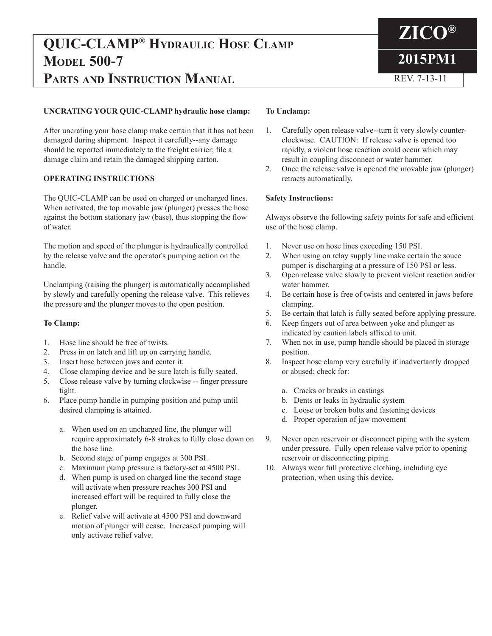# **QUIC-CLAMP® Hydraulic Hose Clamp MODEL 500-7 PARTS AND INSTRUCTION MANUAL REV. 7-13-11**

## **UNCRATING YOUR QUIC-CLAMP hydraulic hose clamp:**

After uncrating your hose clamp make certain that it has not been damaged during shipment. Inspect it carefully--any damage should be reported immediately to the freight carrier; file a damage claim and retain the damaged shipping carton.

## **OPERATING INSTRUCTIONS**

The QUIC-CLAMP can be used on charged or uncharged lines. When activated, the top movable jaw (plunger) presses the hose against the bottom stationary jaw (base), thus stopping the flow of water.

The motion and speed of the plunger is hydraulically controlled by the release valve and the operator's pumping action on the handle.

Unclamping (raising the plunger) is automatically accomplished by slowly and carefully opening the release valve. This relieves the pressure and the plunger moves to the open position.

## **To Clamp:**

- 1. Hose line should be free of twists.
- 2. Press in on latch and lift up on carrying handle.
- 3. Insert hose between jaws and center it.
- 4. Close clamping device and be sure latch is fully seated.
- 5. Close release valve by turning clockwise -- finger pressure tight.
- 6. Place pump handle in pumping position and pump until desired clamping is attained.
	- a. When used on an uncharged line, the plunger will require approximately 6-8 strokes to fully close down on the hose line.
	- b. Second stage of pump engages at 300 PSI.
	- c. Maximum pump pressure is factory-set at 4500 PSI.
	- d. When pump is used on charged line the second stage will activate when pressure reaches 300 PSI and increased effort will be required to fully close the plunger.
	- e. Relief valve will activate at 4500 PSI and downward motion of plunger will cease. Increased pumping will only activate relief valve.

## **To Unclamp:**

1. Carefully open release valve--turn it very slowly counterclockwise. CAUTION: If release valve is opened too rapidly, a violent hose reaction could occur which may result in coupling disconnect or water hammer.

**ZICO®**

**2015PM1**

2. Once the release valve is opened the movable jaw (plunger) retracts automatically.

## **Safety Instructions:**

Always observe the following safety points for safe and efficient use of the hose clamp.

- 1. Never use on hose lines exceeding 150 PSI.
- 2. When using on relay supply line make certain the souce pumper is discharging at a pressure of 150 PSI or less.
- 3. Open release valve slowly to prevent violent reaction and/or water hammer.
- 4. Be certain hose is free of twists and centered in jaws before clamping.
- 5. Be certain that latch is fully seated before applying pressure.
- 6. Keep fingers out of area between yoke and plunger as indicated by caution labels affixed to unit.
- 7. When not in use, pump handle should be placed in storage position.
- 8. Inspect hose clamp very carefully if inadvertantly dropped or abused; check for:
	- a. Cracks or breaks in castings
	- b. Dents or leaks in hydraulic system
	- c. Loose or broken bolts and fastening devices
	- d. Proper operation of jaw movement
- 9. Never open reservoir or disconnect piping with the system under pressure. Fully open release valve prior to opening reservoir or disconnecting piping.
- 10. Always wear full protective clothing, including eye protection, when using this device.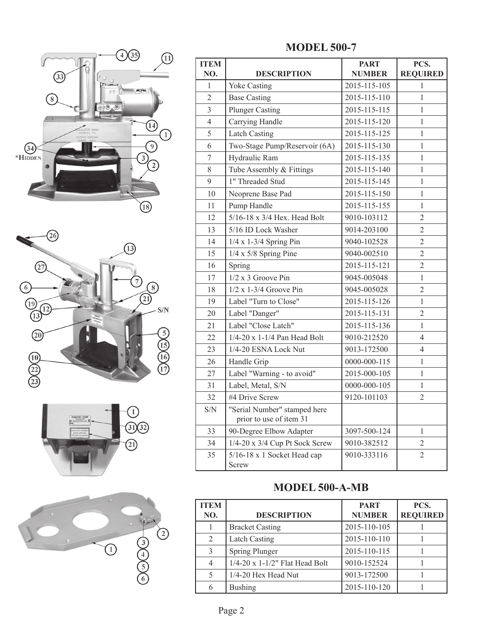







| <b>MODEL 500-7</b> |  |
|--------------------|--|
|--------------------|--|

| <b>ITEM</b>      |                                                               | <b>PART</b>                   | PCS.            |  |
|------------------|---------------------------------------------------------------|-------------------------------|-----------------|--|
| NO.              | <b>DESCRIPTION</b>                                            | <b>NUMBER</b>                 | <b>REQUIRED</b> |  |
| 1                | <b>Yoke Casting</b><br>2015-115-105                           |                               | 1               |  |
| $\overline{2}$   | <b>Base Casting</b>                                           | 2015-115-110                  | 1               |  |
| $\overline{3}$   | <b>Plunger Casting</b>                                        | 2015-115-115                  | 1               |  |
| $\overline{4}$   | Carrying Handle                                               | 2015-115-120                  | 1               |  |
| 5                | <b>Latch Casting</b>                                          | 2015-115-125                  | 1               |  |
| 6                | Two-Stage Pump/Reservoir (6A)                                 | 2015-115-130                  | 1               |  |
| $\boldsymbol{7}$ | Hydraulic Ram                                                 | 2015-115-135                  | 1               |  |
| 8                | Tube Assembly & Fittings                                      | 2015-115-140                  | 1               |  |
| 9                | 1" Threaded Stud                                              | 2015-115-145                  | 1               |  |
| 10               | Neoprene Base Pad<br>2015-115-150<br>1                        |                               |                 |  |
| 11               | Pump Handle<br>2015-115-155                                   |                               | 1               |  |
| 12               | 5/16-18 x 3/4 Hex. Head Bolt                                  | 9010-103112                   | $\overline{2}$  |  |
| 13               | 5/16 ID Lock Washer                                           | 9014-203100                   | $\overline{2}$  |  |
| 14               | $1/4$ x 1-3/4 Spring Pin<br>9040-102528                       |                               | $\overline{2}$  |  |
| 15               | $1/4 \times 5/8$ Spring Pine                                  | 9040-002510                   | $\overline{2}$  |  |
| 16               | 2015-115-121<br>Spring                                        |                               | $\overline{2}$  |  |
| 17               | $1/2$ x 3 Groove Pin                                          | 9045-005048                   | 1               |  |
| 18               | $1/2$ x 1-3/4 Groove Pin<br>9045-005028                       |                               | $\overline{2}$  |  |
| 19               | Label "Turn to Close"<br>2015-115-126<br>$\mathbf{1}$         |                               |                 |  |
| 20               | $\overline{2}$<br>Label "Danger"<br>2015-115-131              |                               |                 |  |
| 21               | Label "Close Latch"<br>2015-115-136<br>1                      |                               |                 |  |
| 22               | 1/4-20 x 1-1/4 Pan Head Bolt<br>$\overline{4}$<br>9010-212520 |                               |                 |  |
| 23               | 1/4-20 ESNA Lock Nut                                          | 9013-172500                   | $\overline{4}$  |  |
| 26               | 0000-000-115<br>Handle Grip<br>1                              |                               |                 |  |
| 27               | Label "Warning - to avoid"<br>2015-000-105                    |                               | 1               |  |
| 31               | Label, Metal, S/N<br>0000-000-105                             |                               | 1               |  |
| 32               | #4 Drive Screw                                                | 9120-101103                   |                 |  |
| S/N              | "Serial Number" stamped here<br>prior to use of item 31       |                               |                 |  |
| 33               | 90-Degree Elbow Adapter                                       | 3097-500-124                  | 1               |  |
| 34               | 1/4-20 x 3/4 Cup Pt Sock Screw                                | 9010-382512                   | $\overline{2}$  |  |
| 35               | 5/16-18 x 1 Socket Head cap<br>Screw                          | $\overline{2}$<br>9010-333116 |                 |  |

## **MODEL 500-A-MB**

| <b>ITEM</b><br>NO. | <b>DESCRIPTION</b>                | <b>PART</b><br><b>NUMBER</b> | PCS.<br><b>REQUIRED</b> |
|--------------------|-----------------------------------|------------------------------|-------------------------|
|                    | <b>Bracket Casting</b>            | 2015-110-105                 |                         |
| 2                  | <b>Latch Casting</b>              | 2015-110-110                 |                         |
| $\mathcal{E}$      | <b>Spring Plunger</b>             | 2015-110-115                 |                         |
| 4                  | $1/4$ -20 x 1-1/2" Flat Head Bolt | 9010-152524                  |                         |
| 5                  | 1/4-20 Hex Head Nut               | 9013-172500                  |                         |
| 6                  | <b>Bushing</b>                    | 2015-110-120                 |                         |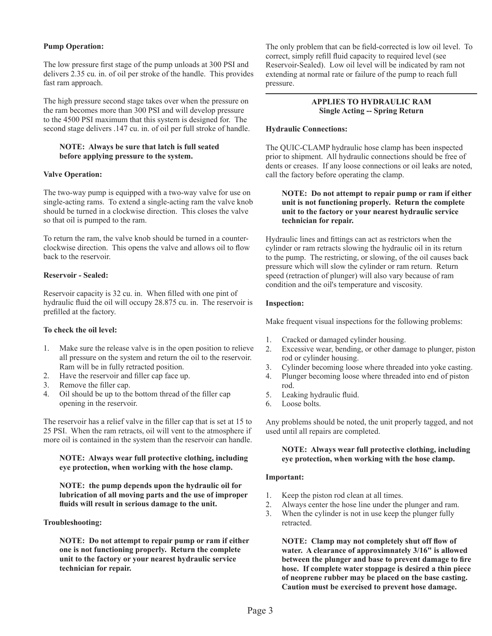## **Pump Operation:**

The low pressure first stage of the pump unloads at 300 PSI and delivers 2.35 cu. in. of oil per stroke of the handle. This provides fast ram approach.

The high pressure second stage takes over when the pressure on the ram becomes more than 300 PSI and will develop pressure to the 4500 PSI maximum that this system is designed for. The second stage delivers .147 cu. in. of oil per full stroke of handle.

## **NOTE: Always be sure that latch is full seated before applying pressure to the system.**

## **Valve Operation:**

The two-way pump is equipped with a two-way valve for use on single-acting rams. To extend a single-acting ram the valve knob should be turned in a clockwise direction. This closes the valve so that oil is pumped to the ram.

To return the ram, the valve knob should be turned in a counterclockwise direction. This opens the valve and allows oil to flow back to the reservoir.

## **Reservoir - Sealed:**

Reservoir capacity is 32 cu. in. When filled with one pint of hydraulic fluid the oil will occupy 28.875 cu. in. The reservoir is prefilled at the factory.

## **To check the oil level:**

- 1. Make sure the release valve is in the open position to relieve all pressure on the system and return the oil to the reservoir. Ram will be in fully retracted position.
- 2. Have the reservoir and filler cap face up.
- 3. Remove the filler cap.
- 4. Oil should be up to the bottom thread of the filler cap opening in the reservoir.

The reservoir has a relief valve in the filler cap that is set at 15 to 25 PSI. When the ram retracts, oil will vent to the atmosphere if more oil is contained in the system than the reservoir can handle.

#### **NOTE: Always wear full protective clothing, including eye protection, when working with the hose clamp.**

**NOTE: the pump depends upon the hydraulic oil for lubrication of all moving parts and the use of improper fluids will result in serious damage to the unit.**

## **Troubleshooting:**

**NOTE: Do not attempt to repair pump or ram if either one is not functioning properly. Return the complete unit to the factory or your nearest hydraulic service technician for repair.**

The only problem that can be field-corrected is low oil level. To correct, simply refill fluid capacity to required level (see Reservoir-Sealed). Low oil level will be indicated by ram not extending at normal rate or failure of the pump to reach full pressure.

#### **APPLIES TO HYDRAULIC RAM Single Acting -- Spring Return**

## **Hydraulic Connections:**

The QUIC-CLAMP hydraulic hose clamp has been inspected prior to shipment. All hydraulic connections should be free of dents or creases. If any loose connections or oil leaks are noted, call the factory before operating the clamp.

## **NOTE: Do not attempt to repair pump or ram if either unit is not functioning properly. Return the complete unit to the factory or your nearest hydraulic service technician for repair.**

Hydraulic lines and fittings can act as restrictors when the cylinder or ram retracts slowing the hydraulic oil in its return to the pump. The restricting, or slowing, of the oil causes back pressure which will slow the cylinder or ram return. Return speed (retraction of plunger) will also vary because of ram condition and the oil's temperature and viscosity.

## **Inspection:**

Make frequent visual inspections for the following problems:

- 1. Cracked or damaged cylinder housing.
- 2. Excessive wear, bending, or other damage to plunger, piston rod or cylinder housing.
- 3. Cylinder becoming loose where threaded into yoke casting.
- 4. Plunger becoming loose where threaded into end of piston rod.
- 5. Leaking hydraulic fluid.
- 6. Loose bolts.

Any problems should be noted, the unit properly tagged, and not used until all repairs are completed.

## **NOTE: Always wear full protective clothing, including eye protection, when working with the hose clamp.**

## **Important:**

- 1. Keep the piston rod clean at all times.
- 2. Always center the hose line under the plunger and ram.
- 3. When the cylinder is not in use keep the plunger fully retracted.

 **NOTE: Clamp may not completely shut off flow of water. A clearance of approximnately 3/16" is allowed between the plunger and base to prevent damage to fire hose. If complete water stoppage is desired a thin piece of neoprene rubber may be placed on the base casting. Caution must be exercised to prevent hose damage.**